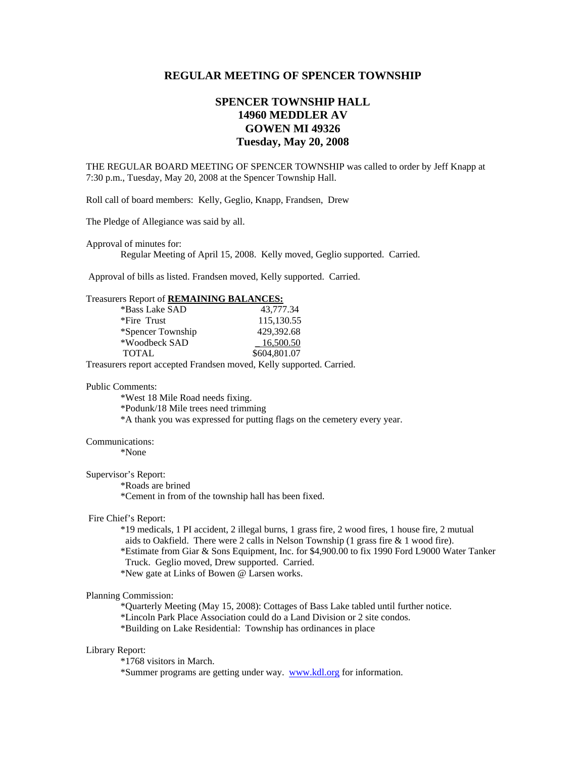# **REGULAR MEETING OF SPENCER TOWNSHIP**

# **SPENCER TOWNSHIP HALL 14960 MEDDLER AV GOWEN MI 49326 Tuesday, May 20, 2008**

THE REGULAR BOARD MEETING OF SPENCER TOWNSHIP was called to order by Jeff Knapp at 7:30 p.m., Tuesday, May 20, 2008 at the Spencer Township Hall.

Roll call of board members: Kelly, Geglio, Knapp, Frandsen, Drew

The Pledge of Allegiance was said by all.

Approval of minutes for:

Regular Meeting of April 15, 2008. Kelly moved, Geglio supported. Carried.

Approval of bills as listed. Frandsen moved, Kelly supported. Carried.

## Treasurers Report of **REMAINING BALANCES:**

| *Bass Lake SAD    | 43.777.34    |
|-------------------|--------------|
| *Fire Trust       | 115,130.55   |
| *Spencer Township | 429,392.68   |
| *Woodbeck SAD     | 16,500.50    |
| <b>TOTAL</b>      | \$604,801.07 |

Treasurers report accepted Frandsen moved, Kelly supported. Carried.

#### Public Comments:

 \*West 18 Mile Road needs fixing. \*Podunk/18 Mile trees need trimming

\*A thank you was expressed for putting flags on the cemetery every year.

#### Communications:

\*None

## Supervisor's Report:

\*Roads are brined

\*Cement in from of the township hall has been fixed.

### Fire Chief's Report:

 \*19 medicals, 1 PI accident, 2 illegal burns, 1 grass fire, 2 wood fires, 1 house fire, 2 mutual aids to Oakfield. There were 2 calls in Nelson Township (1 grass fire & 1 wood fire).

 \*Estimate from Giar & Sons Equipment, Inc. for \$4,900.00 to fix 1990 Ford L9000 Water Tanker Truck. Geglio moved, Drew supported. Carried.

\*New gate at Links of Bowen @ Larsen works.

#### Planning Commission:

\*Quarterly Meeting (May 15, 2008): Cottages of Bass Lake tabled until further notice.

\*Lincoln Park Place Association could do a Land Division or 2 site condos.

\*Building on Lake Residential: Township has ordinances in place

#### Library Report:

\*1768 visitors in March.

\*Summer programs are getting under way. www.kdl.org for information.